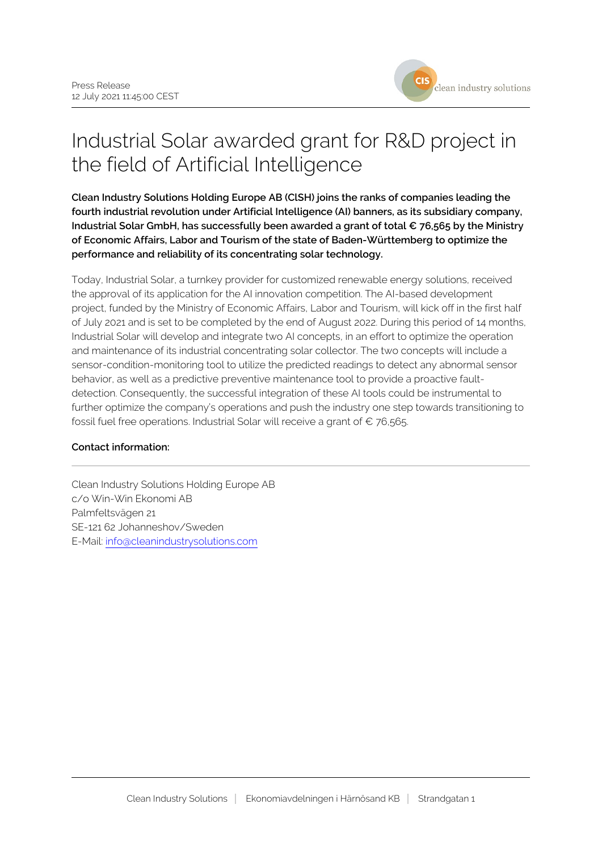

## Industrial Solar awarded grant for R&D project in the field of Artificial Intelligence

**Clean Industry Solutions Holding Europe AB (ClSH) joins the ranks of companies leading the fourth industrial revolution under Artificial Intelligence (AI) banners, as its subsidiary company, Industrial Solar GmbH, has successfully been awarded a grant of total € 76,565 by the Ministry of Economic Affairs, Labor and Tourism of the state of Baden-Württemberg to optimize the performance and reliability of its concentrating solar technology.**

Today, Industrial Solar, a turnkey provider for customized renewable energy solutions, received the approval of its application for the AI innovation competition. The AI-based development project, funded by the Ministry of Economic Affairs, Labor and Tourism, will kick off in the first half of July 2021 and is set to be completed by the end of August 2022. During this period of 14 months, Industrial Solar will develop and integrate two AI concepts, in an effort to optimize the operation and maintenance of its industrial concentrating solar collector. The two concepts will include a sensor-condition-monitoring tool to utilize the predicted readings to detect any abnormal sensor behavior, as well as a predictive preventive maintenance tool to provide a proactive faultdetection. Consequently, the successful integration of these AI tools could be instrumental to further optimize the company's operations and push the industry one step towards transitioning to fossil fuel free operations. Industrial Solar will receive a grant of  $\epsilon$  76,565.

## **Contact information:**

Clean Industry Solutions Holding Europe AB c/o Win-Win Ekonomi AB Palmfeltsvägen 21 SE-121 62 Johanneshov/Sweden E-Mail: info@cleanindustrysolutions.com